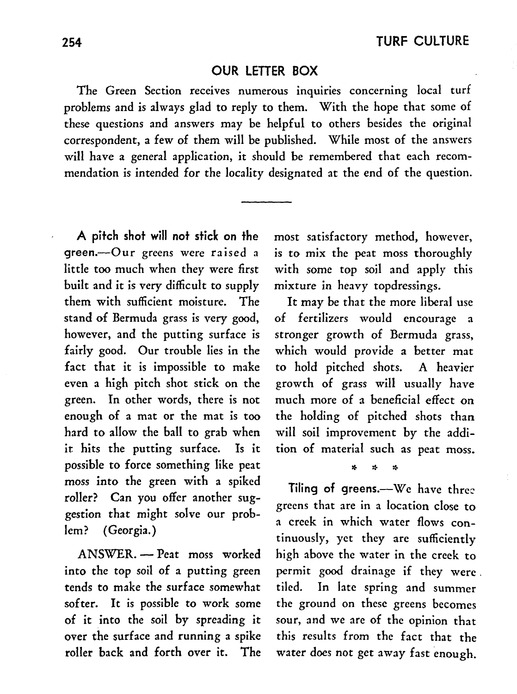## OUR LETTER BOX

The Green Section receives numerous inquiries concerning local turf problems and is always glad to reply to them. With the hope that some of these questions and answers may be helpful to others besides the original correspondent, a few of them will be published. While most of the answers will have a general application, it should be remembered that each recommendation is intended for the locality designated at the end of the question.

A pitch shot will not stick on the green.-Our greens were raised a little too much when they were first built and it is very difficult to supply them with sufficient moisture. The stand of Bermuda grass is very good, however, and the putting surface is fairly good. Our trouble lies in the fact that it is impossible to make even a high pitch shot stick on the green. In other words, there is not enough of a mat or the mat is too hard to allow the ball to grab when it hits the putting surface. Is it possible to force something like peat moss into the green with a spiked roller? Can you offer another suggestion that might solve our problem? (Georgia.)

ANSWER. - Peat moss worked into the top soil of a putting green tends to make the surface somewhat softer. It is possible to work some of it into the soil by spreading it over the surface and running a spike roller back and forth over it. The most satisfactory method, however, is to mix the peat moss thoroughly with some top soil and apply this mixture in heavy topdressings.

It may be that the more liberal use of fertilizers would encourage a stronger growth of Bermuda grass, which would provide a better mat to hold pitched shots. A heavier growth of grass will usually have much more of a beneficial effect on the holding of pitched shots than will soil improvement by the addition of material such as peat moss.

\* \* \*

Tiling of greens. $-We$  have three greens that are in a location close to a creek in which water flows continuously, yet they are sufficiently high above the water in the creek to permit good drainage if they were. tiled. In late spring and summer the ground on these greens becomes sour, and we are of the opinion that this results from the fact that the water does not get away fast enough.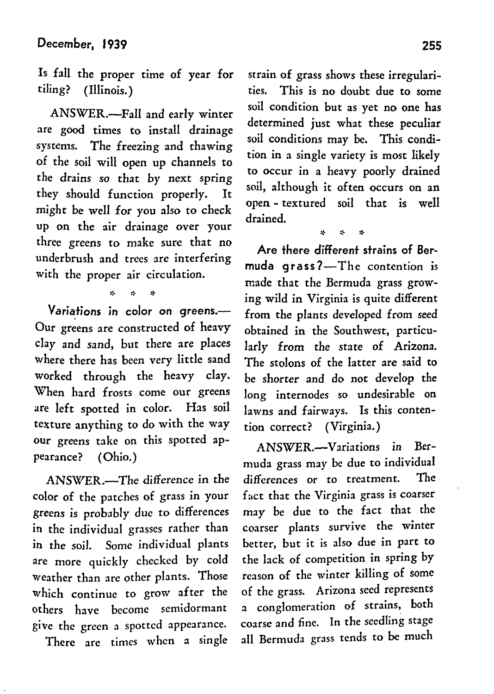Is fall the proper time of year for tiling? (Illinois.)

ANSWER.--Fall and early winter are good times to install drainage systems. The freezing and thawing of the soil will open up channels to the drains *so* that by next spring they should function properly. It might be well for you also to check up on the air drainage over your three greens to make sure that no underbrush and trees are interfering with the proper air circulation.

> i.  $\mathbf{z}$

Variations in color on greens.-Our greens are constructed of heavy clay and sand, but there are places where there has been very little sand worked through the heavy clay. When hard frosts come our greens arc left spotted in color. Has soil texture anything to do with the way our greens take on this spotted appearance? (Ohio.)

ANSWER.-The difference in the color of the patches of grass in your greens is probably due to differences in the individual grasses rather than in the soil. Some individual plants are more quickly checked by cold weather than are other plants. Those which continue to grow after the others have become scmidormant give the green a spotted appearance.

There are times when a single

strain of grass shows these irregularities. This is no doubt due to some soil condition but as yet no one has determined just what these peculiar soil conditions may be. This condition in a single variety is most likely to occur in a heavy poorly drained soil, although it often occurs on an open - textured soil that is well drained.

\* ::. \* Are there different strains of Ber~ muda  $q$ rass?—The contention is made that the Bermuda grass growing wild in Virginia is quite different from the plants developed from seed obtained in the Southwest, particularly from the state of Arizona. The stolons of the latter are said to be shorter and do not develop the long internodes so undesirable on lawns and fairways. Is this contention correct? (Virginia.)

ANSWER.-Variations in Bermuda grass may be due to individual differences or to treatment. The fact that the Virginia grass is coarser may be due to the fact that the coarser plants survive the winter better, but it is also due in part to the lack of competition in spring by reason of the winter killing of some of the grass. Arizona seed represents a conglomeration of strains, both coarse and fine. In the seedling stage all Bermuda grass tends to be much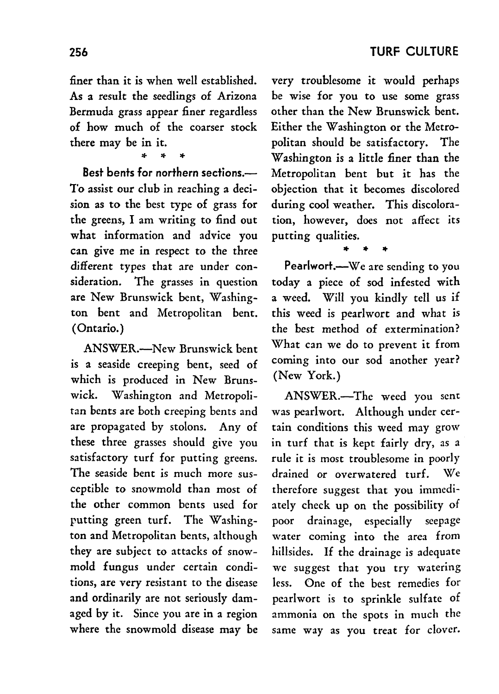finer than it is when well established. As a result the seedlings of Arizona Bermuda grass appear finer regardless of how much of the coarser stock there may be in it.

\*' ". ".

Best bents for northern sections.-To assist our club in reaching a decision as to the best type of grass for the greens, I am writing to find out what information and advice you can give me in respect to the three different types that are under consideration. The grasses in question are New Brunswick bent, Washington bent and Metropolitan bent. (Ontario.)

ANSWER.-New Brunswick bent is a seaside creeping bent, seed of which is produced in New Brunswick. Washington and Metropolitan bents are both creeping bents and are propagated by stolons. Any of these three grasses should give you satisfactory turf for putting greens. The seaside bent is much more susceptible to snowmold than most of the other common bents used for putting green turf. The Washington and Metropolitan bents, although they are subject to attacks of snowmold fungus under certain conditions, are very resistant to the disease and ordinarily are not seriously damaged by it. Since you are in a region where the snowmold disease may be very troublesome it would perhaps be wise for you to use some grass other than the New Brunswick bent. Either the Washington or the Metropolitan should be satisfactory. The Washington is a little finer than the Metropolitan bent but it has the objection that it becomes discolored during cool weather. This discoloration, however, does not affect its putting qualities. ,.. ,.. ,..

Pearlwort.--We are sending to you today a piece of sod infested with a weed. Will you kindly tell us if this weed is pearlwort and what is the best method of extermination? \Vhat can we do to prevent it from coming into our sod another year? (New York.)

ANSWER.-The weed you sent was pearlwort. Although under certain conditions this weed may grow in turf that is kept fairly dry, as a rule it is most troublesome in poorly drained or overwatered turf. We therefore suggest that you immediately check up on the possibility of poor drainage, especially seepage water coming into the area from hillsides. If the drainage is adequate we suggest that you try watering less. One of the best remedies for pcarlwort is to sprinkle sulfate of ammonia on the spots in much the same way as you treat for clover.